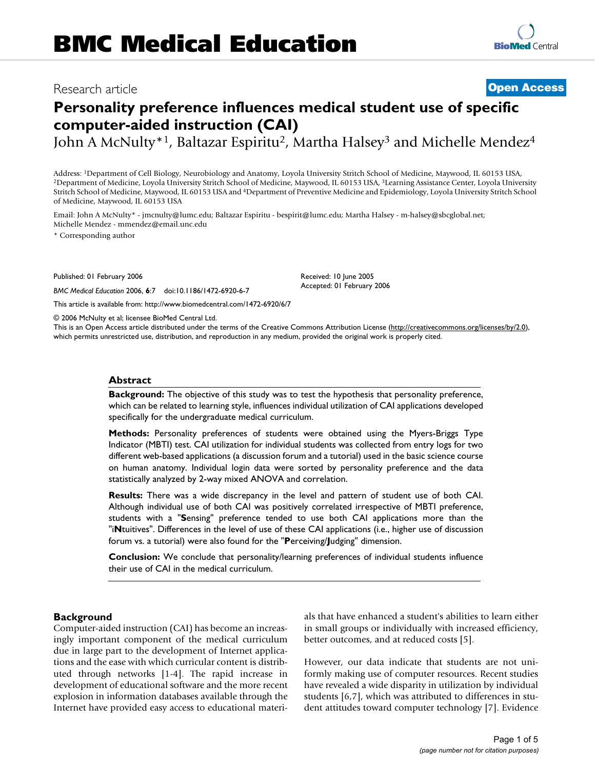# Research article **[Open Access](http://www.biomedcentral.com/info/about/charter/)**

# **Personality preference influences medical student use of specific computer-aided instruction (CAI)**

John A McNulty<sup>\*1</sup>, Baltazar Espiritu<sup>2</sup>, Martha Halsey<sup>3</sup> and Michelle Mendez<sup>4</sup>

Address: <sup>1</sup>Department of Cell Biology, Neurobiology and Anatomy, Loyola University Stritch School of Medicine, Maywood, IL 60153 USA, <sup>2</sup>Department of Medicine, Loyola University Stritch School of Medicine Department of M Stritch School of Medicine, Maywood, IL 60153 USA and 4Department of Preventive Medicine and Epidemiology, Loyola University Stritch School of Medicine, Maywood, IL 60153 USA

Email: John A McNulty\* - jmcnulty@lumc.edu; Baltazar Espiritu - bespirit@lumc.edu; Martha Halsey - m-halsey@sbcglobal.net; Michelle Mendez - mmendez@email.unc.edu

\* Corresponding author

Published: 01 February 2006

*BMC Medical Education* 2006, **6**:7 doi:10.1186/1472-6920-6-7

[This article is available from: http://www.biomedcentral.com/1472-6920/6/7](http://www.biomedcentral.com/1472-6920/6/7)

© 2006 McNulty et al; licensee BioMed Central Ltd.

This is an Open Access article distributed under the terms of the Creative Commons Attribution License [\(http://creativecommons.org/licenses/by/2.0\)](http://creativecommons.org/licenses/by/2.0), which permits unrestricted use, distribution, and reproduction in any medium, provided the original work is properly cited.

Received: 10 June 2005 Accepted: 01 February 2006

#### **Abstract**

**Background:** The objective of this study was to test the hypothesis that personality preference, which can be related to learning style, influences individual utilization of CAI applications developed specifically for the undergraduate medical curriculum.

**Methods:** Personality preferences of students were obtained using the Myers-Briggs Type Indicator (MBTI) test. CAI utilization for individual students was collected from entry logs for two different web-based applications (a discussion forum and a tutorial) used in the basic science course on human anatomy. Individual login data were sorted by personality preference and the data statistically analyzed by 2-way mixed ANOVA and correlation.

**Results:** There was a wide discrepancy in the level and pattern of student use of both CAI. Although individual use of both CAI was positively correlated irrespective of MBTI preference, students with a "**S**ensing" preference tended to use both CAI applications more than the "i**N**tuitives". Differences in the level of use of these CAI applications (i.e., higher use of discussion forum vs. a tutorial) were also found for the "**P**erceiving/**J**udging" dimension.

**Conclusion:** We conclude that personality/learning preferences of individual students influence their use of CAI in the medical curriculum.

#### **Background**

Computer-aided instruction (CAI) has become an increasingly important component of the medical curriculum due in large part to the development of Internet applications and the ease with which curricular content is distributed through networks [1-4]. The rapid increase in development of educational software and the more recent explosion in information databases available through the Internet have provided easy access to educational materials that have enhanced a student's abilities to learn either in small groups or individually with increased efficiency, better outcomes, and at reduced costs [5].

However, our data indicate that students are not uniformly making use of computer resources. Recent studies have revealed a wide disparity in utilization by individual students [6,7], which was attributed to differences in student attitudes toward computer technology [7]. Evidence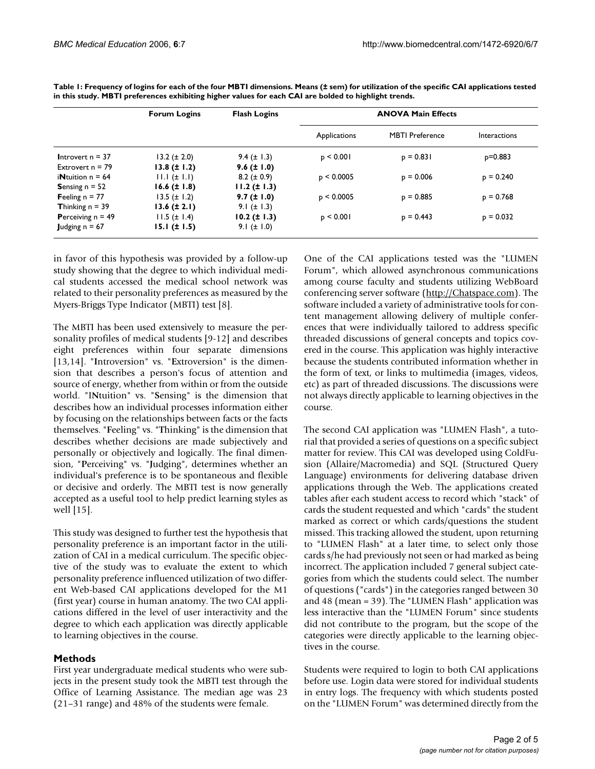|                                     | <b>Forum Logins</b> | <b>Flash Logins</b> | <b>ANOVA Main Effects</b> |                        |              |
|-------------------------------------|---------------------|---------------------|---------------------------|------------------------|--------------|
|                                     |                     |                     | Applications              | <b>MBTI Preference</b> | Interactions |
| Introvert $n = 37$                  | $13.2 (\pm 2.0)$    | $9.4 (\pm 1.3)$     | p < 0.001                 | $p = 0.831$            | $p=0.883$    |
| Extrovert $n = 79$                  | $13.8 (\pm 1.2)$    | $9.6 (\pm 1.0)$     |                           |                        |              |
| iNtuition $n = 64$                  | $11.1 (\pm 1.1)$    | $8.2 (\pm 0.9)$     | $p \le 0.0005$            | $p = 0.006$            | $p = 0.240$  |
| <b>S</b> ensing $n = 52$            | 16.6 $(\pm 1.8)$    | $11.2 (\pm 1.3)$    |                           |                        |              |
| Feeling $n = 77$                    | $13.5 (\pm 1.2)$    | $9.7 (\pm 1.0)$     | p < 0.0005                | $p = 0.885$            | $p = 0.768$  |
| <b>Thinking <math>n = 39</math></b> | $13.6 (\pm 2.1)$    | 9.1 $(\pm 1.3)$     |                           |                        |              |
| Perceiving $n = 49$                 | $11.5 (\pm 1.4)$    | $10.2 (\pm 1.3)$    | $p \leq 0.001$            | $p = 0.443$            | $p = 0.032$  |
| Judging $n = 67$                    | $15.1 (\pm 1.5)$    | 9.1 $(\pm 1.0)$     |                           |                        |              |

**Table 1: Frequency of logins for each of the four MBTI dimensions. Means (± sem) for utilization of the specific CAI applications tested in this study. MBTI preferences exhibiting higher values for each CAI are bolded to highlight trends.**

in favor of this hypothesis was provided by a follow-up study showing that the degree to which individual medical students accessed the medical school network was related to their personality preferences as measured by the Myers-Briggs Type Indicator (MBTI) test [8].

The MBTI has been used extensively to measure the personality profiles of medical students [9-12] and describes eight preferences within four separate dimensions [13,14]. "**I**ntroversion" vs. "**E**xtroversion" is the dimension that describes a person's focus of attention and source of energy, whether from within or from the outside world. "I**N**tuition" vs. "**S**ensing" is the dimension that describes how an individual processes information either by focusing on the relationships between facts or the facts themselves. "**F**eeling" vs. "**T**hinking" is the dimension that describes whether decisions are made subjectively and personally or objectively and logically. The final dimension, "**P**erceiving" vs. "**J**udging", determines whether an individual's preference is to be spontaneous and flexible or decisive and orderly. The MBTI test is now generally accepted as a useful tool to help predict learning styles as well [15].

This study was designed to further test the hypothesis that personality preference is an important factor in the utilization of CAI in a medical curriculum. The specific objective of the study was to evaluate the extent to which personality preference influenced utilization of two different Web-based CAI applications developed for the M1 (first year) course in human anatomy. The two CAI applications differed in the level of user interactivity and the degree to which each application was directly applicable to learning objectives in the course.

#### **Methods**

First year undergraduate medical students who were subjects in the present study took the MBTI test through the Office of Learning Assistance. The median age was 23 (21–31 range) and 48% of the students were female.

One of the CAI applications tested was the "LUMEN Forum", which allowed asynchronous communications among course faculty and students utilizing WebBoard conferencing server software ([http://Chatspace.com\)](http://Chatspace.com). The software included a variety of administrative tools for content management allowing delivery of multiple conferences that were individually tailored to address specific threaded discussions of general concepts and topics covered in the course. This application was highly interactive because the students contributed information whether in the form of text, or links to multimedia (images, videos, etc) as part of threaded discussions. The discussions were not always directly applicable to learning objectives in the course.

The second CAI application was "LUMEN Flash", a tutorial that provided a series of questions on a specific subject matter for review. This CAI was developed using ColdFusion (Allaire/Macromedia) and SQL (Structured Query Language) environments for delivering database driven applications through the Web. The applications created tables after each student access to record which "stack" of cards the student requested and which "cards" the student marked as correct or which cards/questions the student missed. This tracking allowed the student, upon returning to "LUMEN Flash" at a later time, to select only those cards s/he had previously not seen or had marked as being incorrect. The application included 7 general subject categories from which the students could select. The number of questions ("cards") in the categories ranged between 30 and 48 (mean = 39). The "LUMEN Flash" application was less interactive than the "LUMEN Forum" since students did not contribute to the program, but the scope of the categories were directly applicable to the learning objectives in the course.

Students were required to login to both CAI applications before use. Login data were stored for individual students in entry logs. The frequency with which students posted on the "LUMEN Forum" was determined directly from the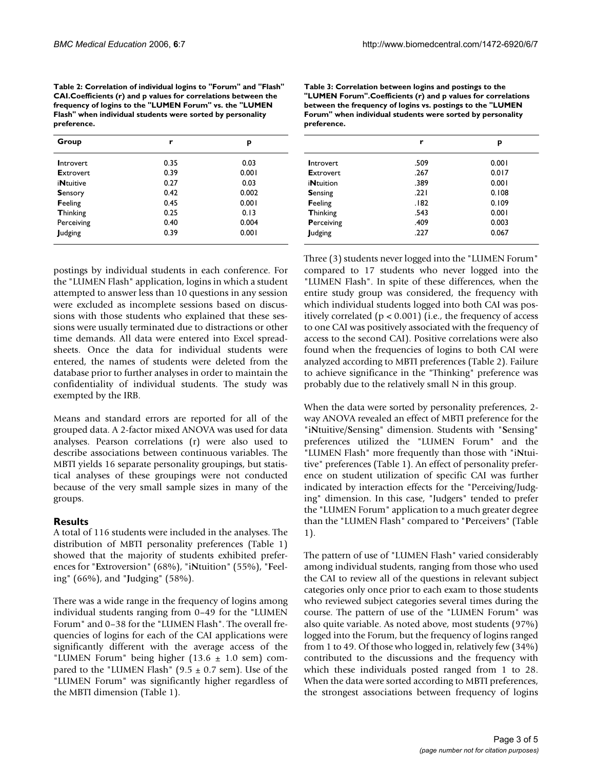**Table 2: Correlation of individual logins to "Forum" and "Flash" CAI.Coefficients (r) and p values for correlations between the frequency of logins to the "LUMEN Forum" vs. the "LUMEN Flash" when individual students were sorted by personality preference.**

| Group            | r    | р     |
|------------------|------|-------|
| Introvert        | 0.35 | 0.03  |
| Extrovert        | 0.39 | 0.001 |
| <b>iNtuitive</b> | 0.27 | 0.03  |
| <b>Sensory</b>   | 0.42 | 0.002 |
| Feeling          | 0.45 | 0.001 |
| <b>Thinking</b>  | 0.25 | 0.13  |
| Perceiving       | 0.40 | 0.004 |
| Judging          | 0.39 | 0.001 |

**Table 3: Correlation between logins and postings to the "LUMEN Forum".Coefficients (r) and p values for correlations between the frequency of logins vs. postings to the "LUMEN Forum" when individual students were sorted by personality preference.**

|                  | r    | р     |
|------------------|------|-------|
| Introvert        | .509 | 0.001 |
| <b>Extrovert</b> | .267 | 0.017 |
| <b>iNtuition</b> | .389 | 0.001 |
| <b>Sensing</b>   | .221 | 0.108 |
| Feeling          | .182 | 0.109 |
| Thinking         | .543 | 0.001 |
| Perceiving       | .409 | 0.003 |
| Judging          | .227 | 0.067 |

postings by individual students in each conference. For the "LUMEN Flash" application, logins in which a student attempted to answer less than 10 questions in any session were excluded as incomplete sessions based on discussions with those students who explained that these sessions were usually terminated due to distractions or other time demands. All data were entered into Excel spreadsheets. Once the data for individual students were entered, the names of students were deleted from the database prior to further analyses in order to maintain the confidentiality of individual students. The study was exempted by the IRB.

Means and standard errors are reported for all of the grouped data. A 2-factor mixed ANOVA was used for data analyses. Pearson correlations (r) were also used to describe associations between continuous variables. The MBTI yields 16 separate personality groupings, but statistical analyses of these groupings were not conducted because of the very small sample sizes in many of the groups.

#### **Results**

A total of 116 students were included in the analyses. The distribution of MBTI personality preferences (Table 1) showed that the majority of students exhibited preferences for "**E**xtroversion" (68%), "i**N**tuition" (55%), "**F**eeling" (66%), and "**J**udging" (58%).

There was a wide range in the frequency of logins among individual students ranging from 0–49 for the "LUMEN Forum" and 0–38 for the "LUMEN Flash". The overall frequencies of logins for each of the CAI applications were significantly different with the average access of the "LUMEN Forum" being higher  $(13.6 \pm 1.0 \text{ sem})$  compared to the "LUMEN Flash" ( $9.5 \pm 0.7$  sem). Use of the "LUMEN Forum" was significantly higher regardless of the MBTI dimension (Table 1).

Three (3) students never logged into the "LUMEN Forum" compared to 17 students who never logged into the "LUMEN Flash". In spite of these differences, when the entire study group was considered, the frequency with which individual students logged into both CAI was positively correlated ( $p < 0.001$ ) (i.e., the frequency of access to one CAI was positively associated with the frequency of access to the second CAI). Positive correlations were also found when the frequencies of logins to both CAI were analyzed according to MBTI preferences (Table 2). Failure to achieve significance in the "Thinking" preference was probably due to the relatively small N in this group.

When the data were sorted by personality preferences, 2 way ANOVA revealed an effect of MBTI preference for the "i**N**tuitive/**S**ensing" dimension. Students with "**S**ensing" preferences utilized the "LUMEN Forum" and the "LUMEN Flash" more frequently than those with "i**N**tuitive" preferences (Table 1). An effect of personality preference on student utilization of specific CAI was further indicated by interaction effects for the "Perceiving/Judging" dimension. In this case, "Judgers" tended to prefer the "LUMEN Forum" application to a much greater degree than the "LUMEN Flash" compared to "**P**erceivers" (Table 1).

The pattern of use of "LUMEN Flash" varied considerably among individual students, ranging from those who used the CAI to review all of the questions in relevant subject categories only once prior to each exam to those students who reviewed subject categories several times during the course. The pattern of use of the "LUMEN Forum" was also quite variable. As noted above, most students (97%) logged into the Forum, but the frequency of logins ranged from 1 to 49. Of those who logged in, relatively few (34%) contributed to the discussions and the frequency with which these individuals posted ranged from 1 to 28. When the data were sorted according to MBTI preferences, the strongest associations between frequency of logins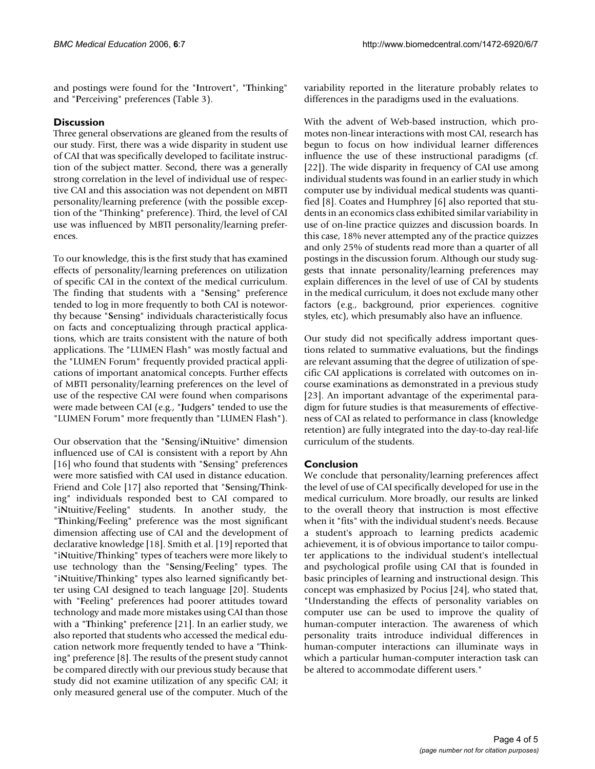and postings were found for the "**I**ntrovert", "**T**hinking" and "**P**erceiving" preferences (Table 3).

## **Discussion**

Three general observations are gleaned from the results of our study. First, there was a wide disparity in student use of CAI that was specifically developed to facilitate instruction of the subject matter. Second, there was a generally strong correlation in the level of individual use of respective CAI and this association was not dependent on MBTI personality/learning preference (with the possible exception of the "Thinking" preference). Third, the level of CAI use was influenced by MBTI personality/learning preferences.

To our knowledge, this is the first study that has examined effects of personality/learning preferences on utilization of specific CAI in the context of the medical curriculum. The finding that students with a "**S**ensing" preference tended to log in more frequently to both CAI is noteworthy because "**S**ensing" individuals characteristically focus on facts and conceptualizing through practical applications, which are traits consistent with the nature of both applications. The "LUMEN Flash" was mostly factual and the "LUMEN Forum" frequently provided practical applications of important anatomical concepts. Further effects of MBTI personality/learning preferences on the level of use of the respective CAI were found when comparisons were made between CAI (e.g., "**J**udgers" tended to use the "LUMEN Forum" more frequently than "LUMEN Flash").

Our observation that the "**S**ensing/i**N**tuitive" dimension influenced use of CAI is consistent with a report by Ahn [16] who found that students with "**S**ensing" preferences were more satisfied with CAI used in distance education. Friend and Cole [17] also reported that "**S**ensing/**T**hinking" individuals responded best to CAI compared to "i**N**tuitive/**F**eeling" students. In another study, the "**T**hinking/**F**eeling" preference was the most significant dimension affecting use of CAI and the development of declarative knowledge [18]. Smith et al. [19] reported that "i**N**tuitive/**T**hinking" types of teachers were more likely to use technology than the "**S**ensing/**F**eeling" types. The "i**N**tuitive/**T**hinking" types also learned significantly better using CAI designed to teach language [20]. Students with "**F**eeling" preferences had poorer attitudes toward technology and made more mistakes using CAI than those with a "**T**hinking" preference [21]. In an earlier study, we also reported that students who accessed the medical education network more frequently tended to have a "**T**hinking" preference [8]. The results of the present study cannot be compared directly with our previous study because that study did not examine utilization of any specific CAI; it only measured general use of the computer. Much of the variability reported in the literature probably relates to differences in the paradigms used in the evaluations.

With the advent of Web-based instruction, which promotes non-linear interactions with most CAI, research has begun to focus on how individual learner differences influence the use of these instructional paradigms (cf. [22]). The wide disparity in frequency of CAI use among individual students was found in an earlier study in which computer use by individual medical students was quantified [8]. Coates and Humphrey [6] also reported that students in an economics class exhibited similar variability in use of on-line practice quizzes and discussion boards. In this case, 18% never attempted any of the practice quizzes and only 25% of students read more than a quarter of all postings in the discussion forum. Although our study suggests that innate personality/learning preferences may explain differences in the level of use of CAI by students in the medical curriculum, it does not exclude many other factors (e.g., background, prior experiences. cognitive styles, etc), which presumably also have an influence.

Our study did not specifically address important questions related to summative evaluations, but the findings are relevant assuming that the degree of utilization of specific CAI applications is correlated with outcomes on incourse examinations as demonstrated in a previous study [23]. An important advantage of the experimental paradigm for future studies is that measurements of effectiveness of CAI as related to performance in class (knowledge retention) are fully integrated into the day-to-day real-life curriculum of the students.

#### **Conclusion**

We conclude that personality/learning preferences affect the level of use of CAI specifically developed for use in the medical curriculum. More broadly, our results are linked to the overall theory that instruction is most effective when it "fits" with the individual student's needs. Because a student's approach to learning predicts academic achievement, it is of obvious importance to tailor computer applications to the individual student's intellectual and psychological profile using CAI that is founded in basic principles of learning and instructional design. This concept was emphasized by Pocius [24], who stated that, "Understanding the effects of personality variables on computer use can be used to improve the quality of human-computer interaction. The awareness of which personality traits introduce individual differences in human-computer interactions can illuminate ways in which a particular human-computer interaction task can be altered to accommodate different users."